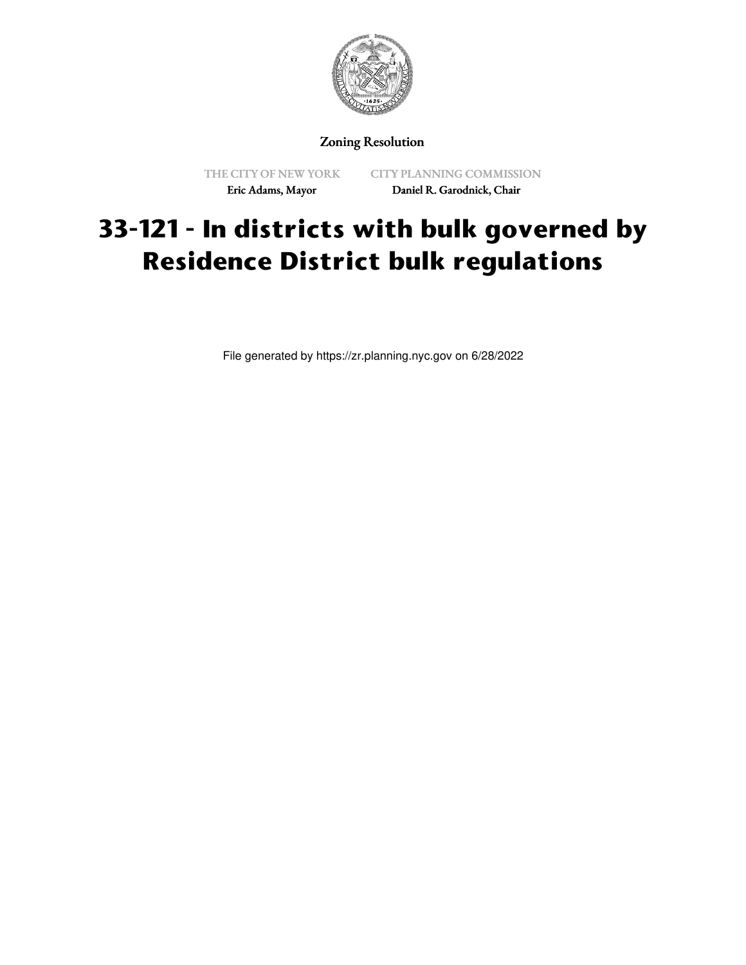

### Zoning Resolution

THE CITY OF NEW YORK Eric Adams, Mayor

CITY PLANNING COMMISSION Daniel R. Garodnick, Chair

# **33-121 - In districts with bulk governed by Residence District bulk regulations**

File generated by https://zr.planning.nyc.gov on 6/28/2022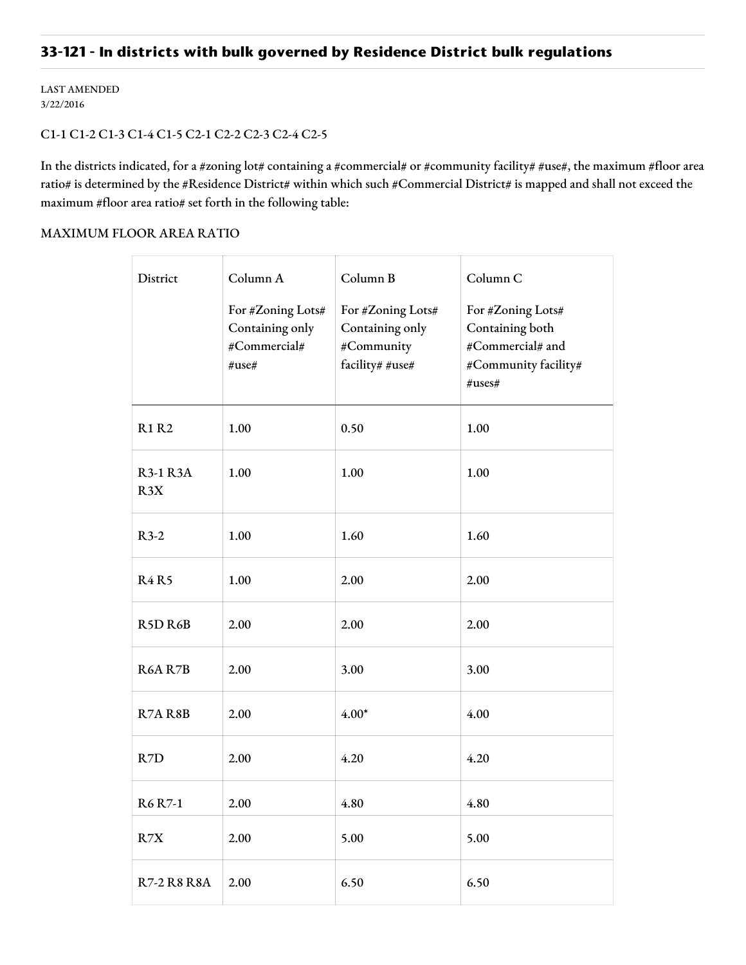## **33-121 - In districts with bulk governed by Residence District bulk regulations**

LAST AMENDED 3/22/2016

#### C1-1 C1-2 C1-3 C1-4 C1-5 C2-1 C2-2 C2-3 C2-4 C2-5

In the districts indicated, for a #zoning lot# containing a #commercial# or #community facility# #use#, the maximum #floor area ratio# is determined by the #Residence District# within which such #Commercial District# is mapped and shall not exceed the maximum #floor area ratio# set forth in the following table:

#### MAXIMUM FLOOR AREA RATIO

| District                         | Column A                                                      | Column B                                                              | Column C                                                                                       |
|----------------------------------|---------------------------------------------------------------|-----------------------------------------------------------------------|------------------------------------------------------------------------------------------------|
|                                  | For #Zoning Lots#<br>Containing only<br>#Commercial#<br>#use# | For #Zoning Lots#<br>Containing only<br>#Community<br>facility# #use# | For #Zoning Lots#<br>Containing both<br>#Commercial# and<br>#Community facility#<br>$\#uses\#$ |
| <b>R1 R2</b>                     | 1.00                                                          | 0.50                                                                  | 1.00                                                                                           |
| <b>R3-1 R3A</b><br>R3X           | 1.00                                                          | 1.00                                                                  | 1.00                                                                                           |
| $R3-2$                           | 1.00                                                          | 1.60                                                                  | 1.60                                                                                           |
| <b>R4R5</b>                      | 1.00                                                          | 2.00                                                                  | 2.00                                                                                           |
| R <sub>5</sub> D <sub>R6</sub> B | 2.00                                                          | 2.00                                                                  | 2.00                                                                                           |
| R6A R7B                          | 2.00                                                          | 3.00                                                                  | 3.00                                                                                           |
| R7AR8B                           | 2.00                                                          | $4.00*$                                                               | 4.00                                                                                           |
| R7D                              | 2.00                                                          | 4.20                                                                  | 4.20                                                                                           |
| <b>R6</b> R7-1                   | 2.00                                                          | 4.80                                                                  | 4.80                                                                                           |
| R7X                              | 2.00                                                          | 5.00                                                                  | 5.00                                                                                           |
| <b>R7-2 R8 R8A</b>               | 2.00                                                          | 6.50                                                                  | 6.50                                                                                           |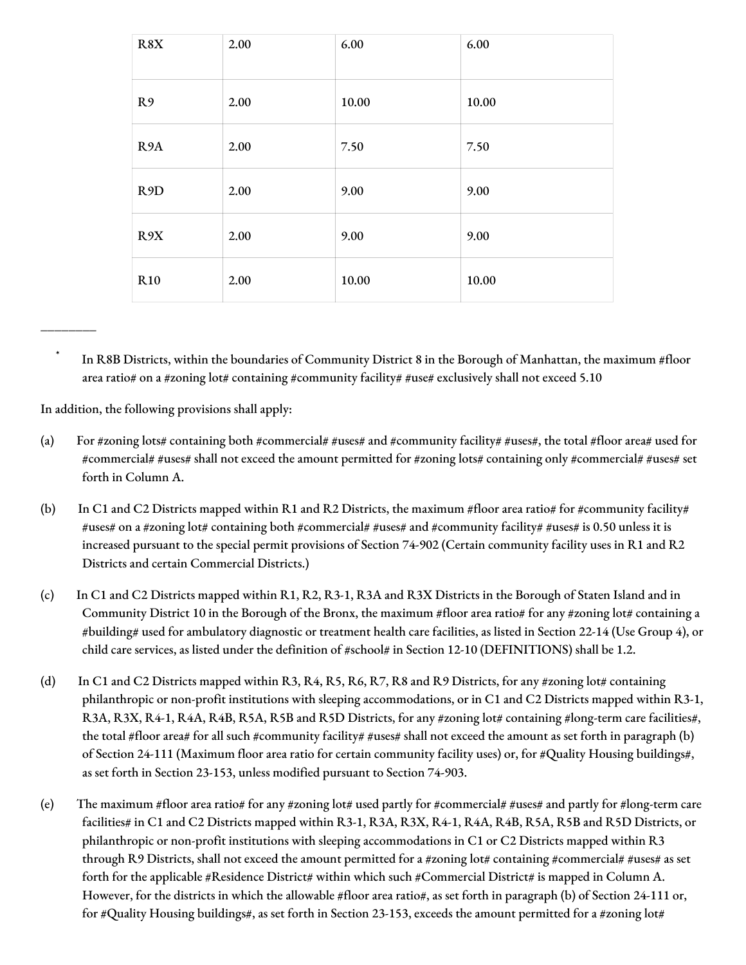| R8X              | 2.00 | 6.00  | 6.00  |
|------------------|------|-------|-------|
| R9               | 2.00 | 10.00 | 10.00 |
| R <sub>9</sub> A | 2.00 | 7.50  | 7.50  |
| R <sub>9</sub> D | 2.00 | 9.00  | 9.00  |
| R9X              | 2.00 | 9.00  | 9.00  |
| R <sub>10</sub>  | 2.00 | 10.00 | 10.00 |

In R8B Districts, within the boundaries of Community District 8 in the Borough of Manhattan, the maximum #floor area ratio# on a #zoning lot# containing #community facility# #use# exclusively shall not exceed 5.10

In addition, the following provisions shall apply:

\_\_\_\_\_\_\_\_

- (a) For #zoning lots# containing both #commercial# #uses# and #community facility# #uses#, the total #floor area# used for #commercial# #uses# shall not exceed the amount permitted for #zoning lots# containing only #commercial# #uses# set forth in Column A.
- (b) In C1 and C2 Districts mapped within R1 and R2 Districts, the maximum #floor area ratio# for #community facility# #uses# on a #zoning lot# containing both #commercial# #uses# and #community facility# #uses# is 0.50 unless it is increased pursuant to the special permit provisions of Section 74-902 (Certain community facility uses in R1 and R2 Districts and certain Commercial Districts.)
- (c) In C1 and C2 Districts mapped within R1, R2, R3-1, R3A and R3X Districts in the Borough of Staten Island and in Community District 10 in the Borough of the Bronx, the maximum #floor area ratio# for any #zoning lot# containing a #building# used for ambulatory diagnostic or treatment health care facilities, as listed in Section 22-14 (Use Group 4), or child care services, as listed under the definition of #school# in Section 12-10 (DEFINITIONS) shall be 1.2.
- (d) In C1 and C2 Districts mapped within R3, R4, R5, R6, R7, R8 and R9 Districts, for any #zoning lot# containing philanthropic or non-profit institutions with sleeping accommodations, or in C1 and C2 Districts mapped within R3-1, R3A, R3X, R4-1, R4A, R4B, R5A, R5B and R5D Districts, for any #zoning lot# containing #long-term care facilities#, the total #floor area# for all such #community facility# #uses# shall not exceed the amount as set forth in paragraph (b) of Section 24-111 (Maximum floor area ratio for certain community facility uses) or, for #Quality Housing buildings#, as set forth in Section 23-153, unless modified pursuant to Section 74-903.
- (e) The maximum #floor area ratio# for any #zoning lot# used partly for #commercial# #uses# and partly for #long-term care facilities# in C1 and C2 Districts mapped within R3-1, R3A, R3X, R4-1, R4A, R4B, R5A, R5B and R5D Districts, or philanthropic or non-profit institutions with sleeping accommodations in C1 or C2 Districts mapped within R3 through R9 Districts, shall not exceed the amount permitted for a #zoning lot# containing #commercial# #uses# as set forth for the applicable #Residence District# within which such #Commercial District# is mapped in Column A. However, for the districts in which the allowable #floor area ratio#, as set forth in paragraph (b) of Section 24-111 or, for #Quality Housing buildings#, as set forth in Section 23-153, exceeds the amount permitted for a #zoning lot#